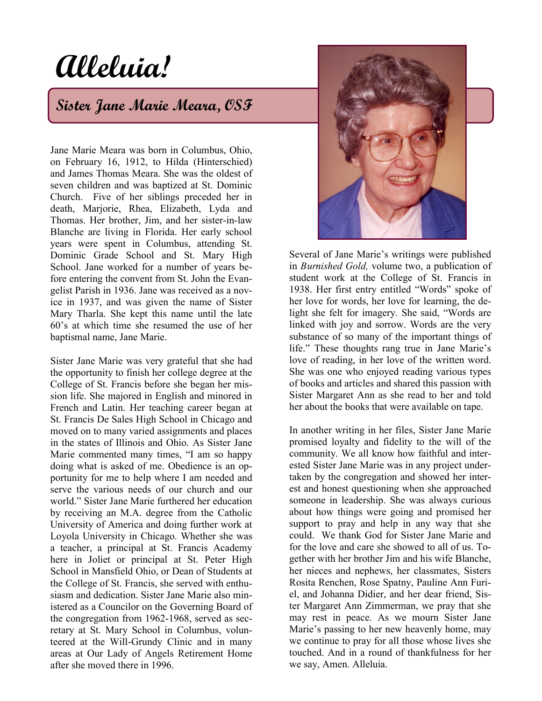# **Alleluia!**

## **Sister Jane Marie Meara, OSF**

Jane Marie Meara was born in Columbus, Ohio, on February 16, 1912, to Hilda (Hinterschied) and James Thomas Meara. She was the oldest of seven children and was baptized at St. Dominic Church. Five of her siblings preceded her in death, Marjorie, Rhea, Elizabeth, Lyda and Thomas. Her brother, Jim, and her sister-in-law Blanche are living in Florida. Her early school years were spent in Columbus, attending St. Dominic Grade School and St. Mary High School. Jane worked for a number of years before entering the convent from St. John the Evangelist Parish in 1936. Jane was received as a novice in 1937, and was given the name of Sister Mary Tharla. She kept this name until the late 60's at which time she resumed the use of her baptismal name, Jane Marie.

Sister Jane Marie was very grateful that she had the opportunity to finish her college degree at the College of St. Francis before she began her mission life. She majored in English and minored in French and Latin. Her teaching career began at St. Francis De Sales High School in Chicago and moved on to many varied assignments and places in the states of Illinois and Ohio. As Sister Jane Marie commented many times, "I am so happy doing what is asked of me. Obedience is an opportunity for me to help where I am needed and serve the various needs of our church and our world." Sister Jane Marie furthered her education by receiving an M.A. degree from the Catholic University of America and doing further work at Loyola University in Chicago. Whether she was a teacher, a principal at St. Francis Academy here in Joliet or principal at St. Peter High School in Mansfield Ohio, or Dean of Students at the College of St. Francis, she served with enthusiasm and dedication. Sister Jane Marie also ministered as a Councilor on the Governing Board of the congregation from 1962-1968, served as secretary at St. Mary School in Columbus, volunteered at the Will-Grundy Clinic and in many areas at Our Lady of Angels Retirement Home after she moved there in 1996.



Several of Jane Marie's writings were published in *Burnished Gold,* volume two, a publication of student work at the College of St. Francis in 1938. Her first entry entitled "Words" spoke of her love for words, her love for learning, the delight she felt for imagery. She said, "Words are linked with joy and sorrow. Words are the very substance of so many of the important things of life." These thoughts rang true in Jane Marie's love of reading, in her love of the written word. She was one who enjoyed reading various types of books and articles and shared this passion with Sister Margaret Ann as she read to her and told her about the books that were available on tape.

In another writing in her files, Sister Jane Marie promised loyalty and fidelity to the will of the community. We all know how faithful and interested Sister Jane Marie was in any project undertaken by the congregation and showed her interest and honest questioning when she approached someone in leadership. She was always curious about how things were going and promised her support to pray and help in any way that she could. We thank God for Sister Jane Marie and for the love and care she showed to all of us. Together with her brother Jim and his wife Blanche, her nieces and nephews, her classmates, Sisters Rosita Renchen, Rose Spatny, Pauline Ann Furiel, and Johanna Didier, and her dear friend, Sister Margaret Ann Zimmerman, we pray that she may rest in peace. As we mourn Sister Jane Marie's passing to her new heavenly home, may we continue to pray for all those whose lives she touched. And in a round of thankfulness for her we say, Amen. Alleluia.